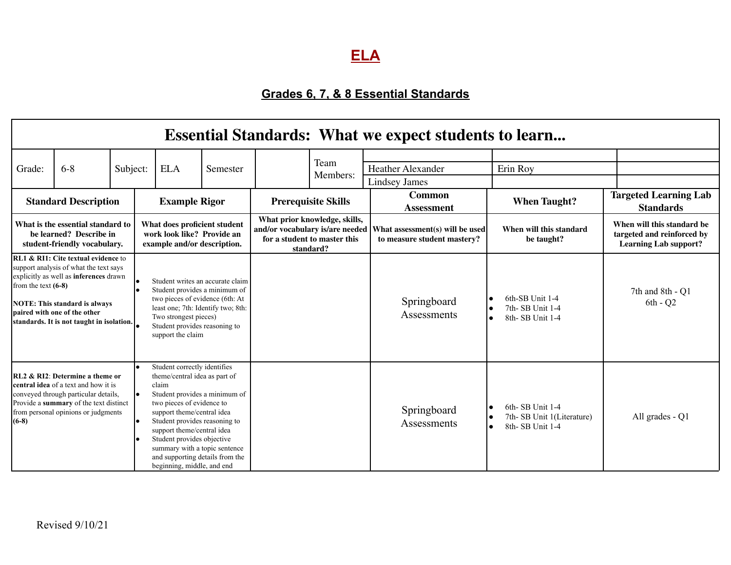## **ELA**

## **Grades 6, 7, & 8 Essential Standards**

| <b>Essential Standards: What we expect students to learn</b>                                 |                                                                                                                                                                                                                                              |          |                                                                                           |                                                                                                                                                                                                                                                                                                                                  |                                                                                                                 |  |                                                                |                                       |                                                                                           |                                |
|----------------------------------------------------------------------------------------------|----------------------------------------------------------------------------------------------------------------------------------------------------------------------------------------------------------------------------------------------|----------|-------------------------------------------------------------------------------------------|----------------------------------------------------------------------------------------------------------------------------------------------------------------------------------------------------------------------------------------------------------------------------------------------------------------------------------|-----------------------------------------------------------------------------------------------------------------|--|----------------------------------------------------------------|---------------------------------------|-------------------------------------------------------------------------------------------|--------------------------------|
| Grade:                                                                                       | $6 - 8$                                                                                                                                                                                                                                      | Subject: |                                                                                           | <b>ELA</b>                                                                                                                                                                                                                                                                                                                       | Semester                                                                                                        |  | Team<br>Members:                                               | Heather Alexander<br>Lindsey James    | Erin Roy                                                                                  |                                |
| <b>Standard Description</b>                                                                  |                                                                                                                                                                                                                                              |          | <b>Example Rigor</b>                                                                      |                                                                                                                                                                                                                                                                                                                                  | <b>Prerequisite Skills</b>                                                                                      |  | <b>Common</b><br><b>Assessment</b>                             | <b>When Taught?</b>                   | <b>Targeted Learning Lab</b><br><b>Standards</b>                                          |                                |
| What is the essential standard to<br>be learned? Describe in<br>student-friendly vocabulary. |                                                                                                                                                                                                                                              |          | What does proficient student<br>work look like? Provide an<br>example and/or description. |                                                                                                                                                                                                                                                                                                                                  | What prior knowledge, skills,<br>and/or vocabulary is/are needed  <br>for a student to master this<br>standard? |  | What assessment(s) will be used<br>to measure student mastery? | When will this standard<br>be taught? | When will this standard be<br>targeted and reinforced by<br><b>Learning Lab support?</b>  |                                |
| from the text $(6-8)$                                                                        | RL1 & RI1: Cite textual evidence to<br>support analysis of what the text says<br>explicitly as well as inferences drawn<br><b>NOTE: This standard is always</b><br>paired with one of the other<br>standards. It is not taught in isolation. |          |                                                                                           | two pieces of evidence (6th: At<br>Two strongest pieces)<br>Student provides reasoning to<br>support the claim                                                                                                                                                                                                                   | Student writes an accurate claim<br>Student provides a minimum of<br>least one; 7th: Identify two; 8th:         |  |                                                                | Springboard<br>Assessments            | 6th-SB Unit 1-4<br>7th-SB Unit 1-4<br>$\bullet$<br>8th-SB Unit 1-4<br>$\bullet$           | 7th and 8th - Q1<br>$6th - Q2$ |
| $(6-8)$                                                                                      | RL2 & RI2: Determine a theme or<br>central idea of a text and how it is<br>conveyed through particular details,<br>Provide a summary of the text distinct<br>from personal opinions or judgments                                             |          |                                                                                           | Student correctly identifies<br>theme/central idea as part of<br>claim<br>two pieces of evidence to<br>support theme/central idea<br>Student provides reasoning to<br>support theme/central idea<br>Student provides objective<br>summary with a topic sentence<br>and supporting details from the<br>beginning, middle, and end | Student provides a minimum of                                                                                   |  |                                                                | Springboard<br>Assessments            | 6th-SB Unit 1-4<br>7th-SB Unit 1(Literature)<br>$\bullet$<br>8th-SB Unit 1-4<br>$\bullet$ | All grades - Q1                |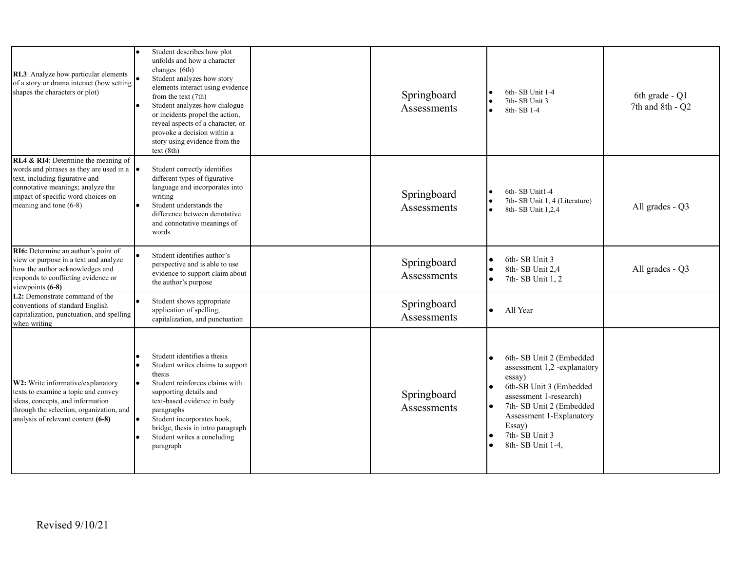| RL3: Analyze how particular elements<br>of a story or drama interact (how setting<br>shapes the characters or plot)                                                                                                             | Student describes how plot<br>unfolds and how a character<br>changes (6th)<br>Student analyzes how story<br>elements interact using evidence<br>from the text (7th)<br>Student analyzes how dialogue<br>or incidents propel the action,<br>reveal aspects of a character, or<br>provoke a decision within a<br>story using evidence from the<br>text(8th) | Springboard<br>Assessments | 6th-SB Unit 1-4<br>I۰<br>7th-SB Unit 3<br>l۰<br>8th-SB 1-4                                                                                                                                                                                     | 6th grade - Q1<br>7th and 8th - Q2 |
|---------------------------------------------------------------------------------------------------------------------------------------------------------------------------------------------------------------------------------|-----------------------------------------------------------------------------------------------------------------------------------------------------------------------------------------------------------------------------------------------------------------------------------------------------------------------------------------------------------|----------------------------|------------------------------------------------------------------------------------------------------------------------------------------------------------------------------------------------------------------------------------------------|------------------------------------|
| RL4 & RI4: Determine the meaning of<br>words and phrases as they are used in a $\bullet$<br>text, including figurative and<br>connotative meanings; analyze the<br>impact of specific word choices on<br>meaning and tone (6-8) | Student correctly identifies<br>different types of figurative<br>language and incorporates into<br>writing<br>Student understands the<br>difference between denotative<br>and connotative meanings of<br>words                                                                                                                                            | Springboard<br>Assessments | 6th-SB Unit1-4<br>7th-SB Unit 1, 4 (Literature)<br>I۰<br>8th- SB Unit 1,2,4<br>l e i                                                                                                                                                           | All grades - Q3                    |
| RI6: Determine an author's point of<br>view or purpose in a text and analyze<br>how the author acknowledges and<br>responds to conflicting evidence or<br>viewpoints (6-8)                                                      | Student identifies author's<br>perspective and is able to use<br>evidence to support claim about<br>the author's purpose                                                                                                                                                                                                                                  | Springboard<br>Assessments | 6th-SB Unit 3<br>I۰<br>8th-SB Unit 2,4<br>I۰<br>7th-SB Unit 1, 2<br>I۰                                                                                                                                                                         | All grades - Q3                    |
| L2: Demonstrate command of the<br>conventions of standard English<br>capitalization, punctuation, and spelling<br>when writing                                                                                                  | Student shows appropriate<br>application of spelling,<br>capitalization, and punctuation                                                                                                                                                                                                                                                                  | Springboard<br>Assessments | All Year                                                                                                                                                                                                                                       |                                    |
| W2: Write informative/explanatory<br>texts to examine a topic and convey<br>ideas, concepts, and information<br>through the selection, organization, and<br>analysis of relevant content (6-8)                                  | Student identifies a thesis<br>Student writes claims to support<br>thesis<br>Student reinforces claims with<br>supporting details and<br>text-based evidence in body<br>paragraphs<br>Student incorporates hook,<br>bridge, thesis in intro paragraph<br>Student writes a concluding<br>paragraph                                                         | Springboard<br>Assessments | 6th-SB Unit 2 (Embedded<br>assessment 1,2 -explanatory<br>essay)<br>6th-SB Unit 3 (Embedded<br>I۰<br>assessment 1-research)<br>7th-SB Unit 2 (Embedded<br>I۰<br>Assessment 1-Explanatory<br>Essay)<br>7th-SB Unit 3<br>I۰<br>8th- SB Unit 1-4, |                                    |